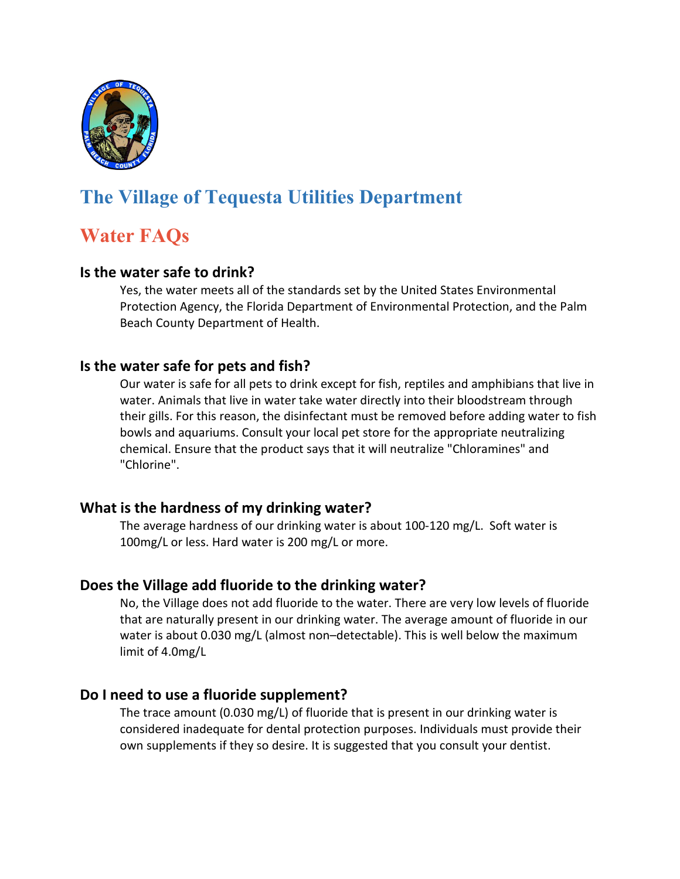

# **The Village of Tequesta Utilities Department**

## **Water FAQs**

#### **Is the water safe to drink?**

Yes, the water meets all of the standards set by the United States Environmental Protection Agency, the Florida Department of Environmental Protection, and the Palm Beach County Department of Health.

#### **Is the water safe for pets and fish?**

Our water is safe for all pets to drink except for fish, reptiles and amphibians that live in water. Animals that live in water take water directly into their bloodstream through their gills. For this reason, the disinfectant must be removed before adding water to fish bowls and aquariums. Consult your local pet store for the appropriate neutralizing chemical. Ensure that the product says that it will neutralize "Chloramines" and "Chlorine".

#### **What is the hardness of my drinking water?**

The average hardness of our drinking water is about 100-120 mg/L. Soft water is 100mg/L or less. Hard water is 200 mg/L or more.

#### **Does the Village add fluoride to the drinking water?**

No, the Village does not add fluoride to the water. There are very low levels of fluoride that are naturally present in our drinking water. The average amount of fluoride in our water is about 0.030 mg/L (almost non–detectable). This is well below the maximum limit of 4.0mg/L

#### **Do I need to use a fluoride supplement?**

The trace amount (0.030 mg/L) of fluoride that is present in our drinking water is considered inadequate for dental protection purposes. Individuals must provide their own supplements if they so desire. It is suggested that you consult your dentist.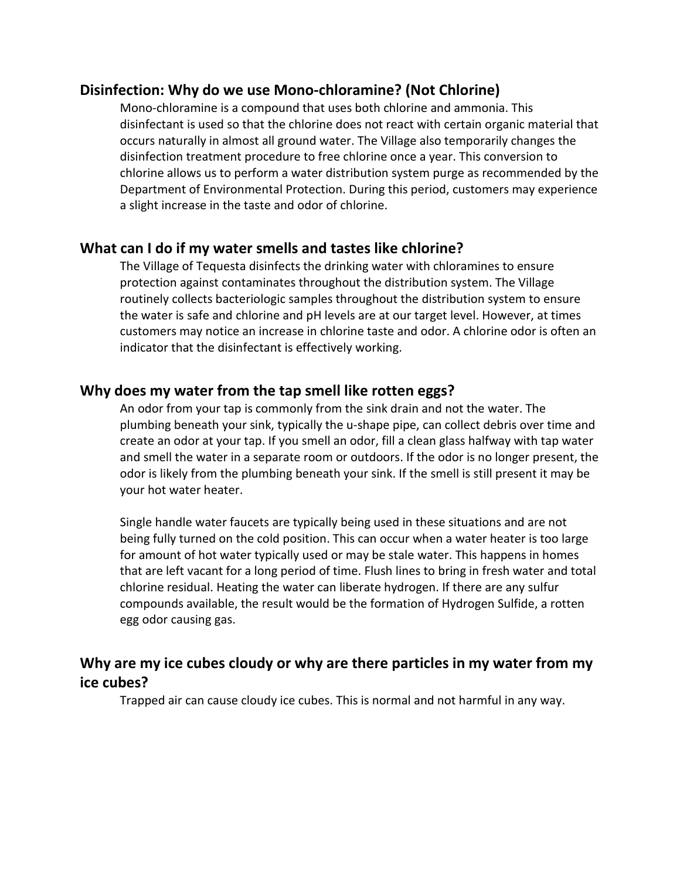#### **Disinfection: Why do we use Mono-chloramine? (Not Chlorine)**

Mono-chloramine is a compound that uses both chlorine and ammonia. This disinfectant is used so that the chlorine does not react with certain organic material that occurs naturally in almost all ground water. The Village also temporarily changes the disinfection treatment procedure to free chlorine once a year. This conversion to chlorine allows us to perform a water distribution system purge as recommended by the Department of Environmental Protection. During this period, customers may experience a slight increase in the taste and odor of chlorine.

#### **What can I do if my water smells and tastes like chlorine?**

The Village of Tequesta disinfects the drinking water with chloramines to ensure protection against contaminates throughout the distribution system. The Village routinely collects bacteriologic samples throughout the distribution system to ensure the water is safe and chlorine and pH levels are at our target level. However, at times customers may notice an increase in chlorine taste and odor. A chlorine odor is often an indicator that the disinfectant is effectively working.

#### **Why does my water from the tap smell like rotten eggs?**

An odor from your tap is commonly from the sink drain and not the water. The plumbing beneath your sink, typically the u-shape pipe, can collect debris over time and create an odor at your tap. If you smell an odor, fill a clean glass halfway with tap water and smell the water in a separate room or outdoors. If the odor is no longer present, the odor is likely from the plumbing beneath your sink. If the smell is still present it may be your hot water heater.

Single handle water faucets are typically being used in these situations and are not being fully turned on the cold position. This can occur when a water heater is too large for amount of hot water typically used or may be stale water. This happens in homes that are left vacant for a long period of time. Flush lines to bring in fresh water and total chlorine residual. Heating the water can liberate hydrogen. If there are any sulfur compounds available, the result would be the formation of Hydrogen Sulfide, a rotten egg odor causing gas.

## **Why are my ice cubes cloudy or why are there particles in my water from my ice cubes?**

Trapped air can cause cloudy ice cubes. This is normal and not harmful in any way.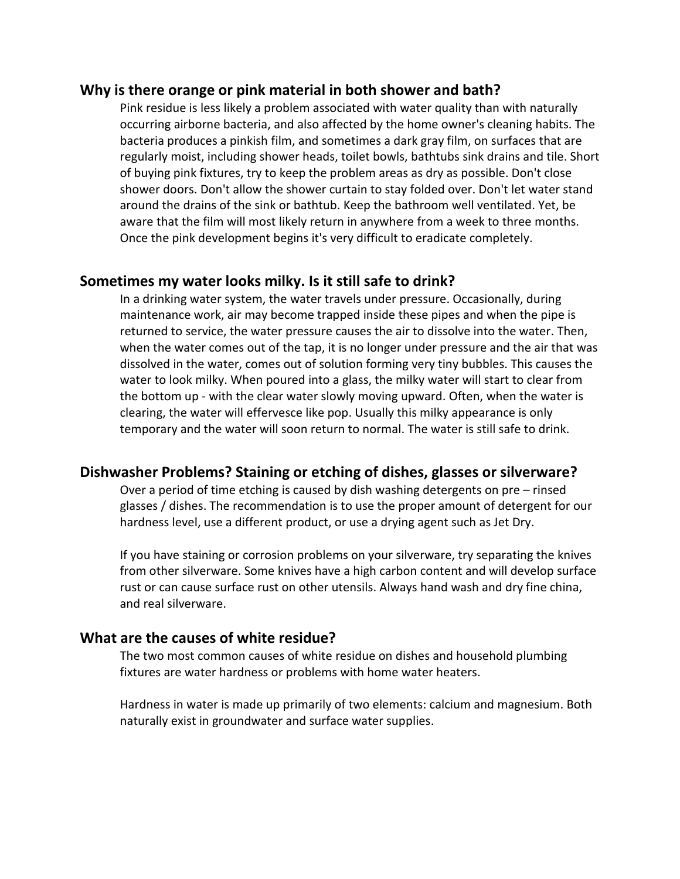#### **Why is there orange or pink material in both shower and bath?**

Pink residue is less likely a problem associated with water quality than with naturally occurring airborne bacteria, and also affected by the home owner's cleaning habits. The bacteria produces a pinkish film, and sometimes a dark gray film, on surfaces that are regularly moist, including shower heads, toilet bowls, bathtubs sink drains and tile. Short of buying pink fixtures, try to keep the problem areas as dry as possible. Don't close shower doors. Don't allow the shower curtain to stay folded over. Don't let water stand around the drains of the sink or bathtub. Keep the bathroom well ventilated. Yet, be aware that the film will most likely return in anywhere from a week to three months. Once the pink development begins it's very difficult to eradicate completely.

#### **Sometimes my water looks milky. Is it still safe to drink?**

In a drinking water system, the water travels under pressure. Occasionally, during maintenance work, air may become trapped inside these pipes and when the pipe is returned to service, the water pressure causes the air to dissolve into the water. Then, when the water comes out of the tap, it is no longer under pressure and the air that was dissolved in the water, comes out of solution forming very tiny bubbles. This causes the water to look milky. When poured into a glass, the milky water will start to clear from the bottom up - with the clear water slowly moving upward. Often, when the water is clearing, the water will effervesce like pop. Usually this milky appearance is only temporary and the water will soon return to normal. The water is still safe to drink.

#### **Dishwasher Problems? Staining or etching of dishes, glasses or silverware?**

Over a period of time etching is caused by dish washing detergents on pre – rinsed glasses / dishes. The recommendation is to use the proper amount of detergent for our hardness level, use a different product, or use a drying agent such as Jet Dry.

If you have staining or corrosion problems on your silverware, try separating the knives from other silverware. Some knives have a high carbon content and will develop surface rust or can cause surface rust on other utensils. Always hand wash and dry fine china, and real silverware.

#### **What are the causes of white residue?**

The two most common causes of white residue on dishes and household plumbing fixtures are water hardness or problems with home water heaters.

Hardness in water is made up primarily of two elements: calcium and magnesium. Both naturally exist in groundwater and surface water supplies.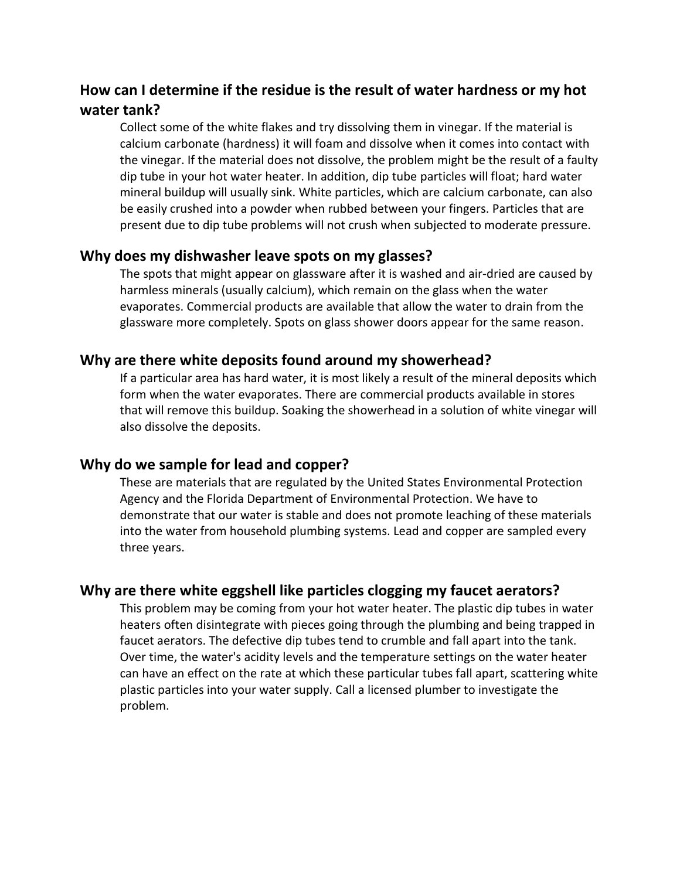## **How can I determine if the residue is the result of water hardness or my hot water tank?**

Collect some of the white flakes and try dissolving them in vinegar. If the material is calcium carbonate (hardness) it will foam and dissolve when it comes into contact with the vinegar. If the material does not dissolve, the problem might be the result of a faulty dip tube in your hot water heater. In addition, dip tube particles will float; hard water mineral buildup will usually sink. White particles, which are calcium carbonate, can also be easily crushed into a powder when rubbed between your fingers. Particles that are present due to dip tube problems will not crush when subjected to moderate pressure.

#### **Why does my dishwasher leave spots on my glasses?**

The spots that might appear on glassware after it is washed and air-dried are caused by harmless minerals (usually calcium), which remain on the glass when the water evaporates. Commercial products are available that allow the water to drain from the glassware more completely. Spots on glass shower doors appear for the same reason.

#### **Why are there white deposits found around my showerhead?**

If a particular area has hard water, it is most likely a result of the mineral deposits which form when the water evaporates. There are commercial products available in stores that will remove this buildup. Soaking the showerhead in a solution of white vinegar will also dissolve the deposits.

#### **Why do we sample for lead and copper?**

These are materials that are regulated by the United States Environmental Protection Agency and the Florida Department of Environmental Protection. We have to demonstrate that our water is stable and does not promote leaching of these materials into the water from household plumbing systems. Lead and copper are sampled every three years.

#### **Why are there white eggshell like particles clogging my faucet aerators?**

This problem may be coming from your hot water heater. The plastic dip tubes in water heaters often disintegrate with pieces going through the plumbing and being trapped in faucet aerators. The defective dip tubes tend to crumble and fall apart into the tank. Over time, the water's acidity levels and the temperature settings on the water heater can have an effect on the rate at which these particular tubes fall apart, scattering white plastic particles into your water supply. Call a licensed plumber to investigate the problem.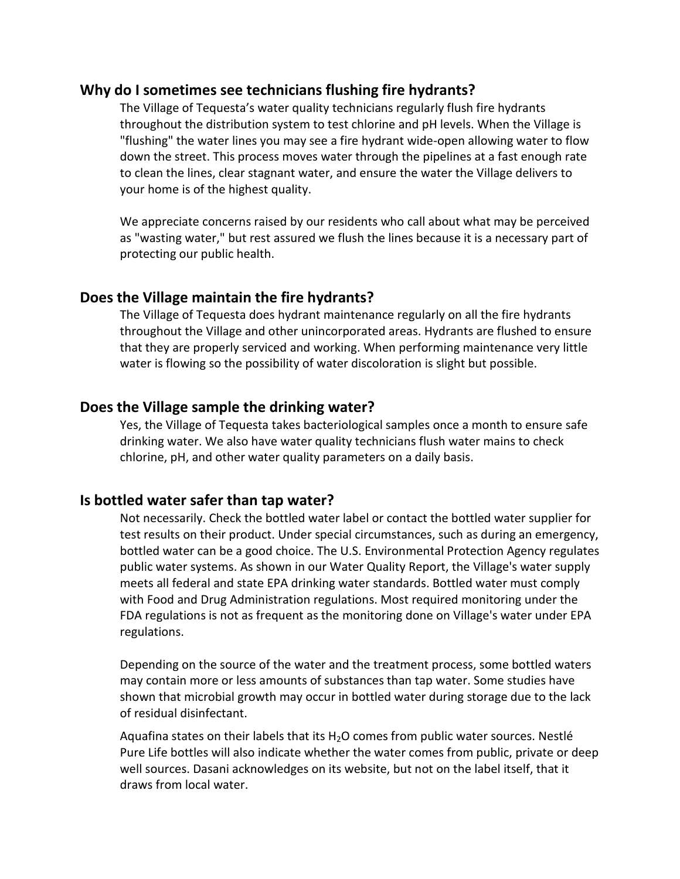#### **Why do I sometimes see technicians flushing fire hydrants?**

The Village of Tequesta's water quality technicians regularly flush fire hydrants throughout the distribution system to test chlorine and pH levels. When the Village is "flushing" the water lines you may see a fire hydrant wide-open allowing water to flow down the street. This process moves water through the pipelines at a fast enough rate to clean the lines, clear stagnant water, and ensure the water the Village delivers to your home is of the highest quality.

We appreciate concerns raised by our residents who call about what may be perceived as "wasting water," but rest assured we flush the lines because it is a necessary part of protecting our public health.

#### **Does the Village maintain the fire hydrants?**

The Village of Tequesta does hydrant maintenance regularly on all the fire hydrants throughout the Village and other unincorporated areas. Hydrants are flushed to ensure that they are properly serviced and working. When performing maintenance very little water is flowing so the possibility of water discoloration is slight but possible.

#### **Does the Village sample the drinking water?**

Yes, the Village of Tequesta takes bacteriological samples once a month to ensure safe drinking water. We also have water quality technicians flush water mains to check chlorine, pH, and other water quality parameters on a daily basis.

#### **Is bottled water safer than tap water?**

Not necessarily. Check the bottled water label or contact the bottled water supplier for test results on their product. Under special circumstances, such as during an emergency, bottled water can be a good choice. The U.S. Environmental Protection Agency regulates public water systems. As shown in our Water Quality Report, the Village's water supply meets all federal and state EPA drinking water standards. Bottled water must comply with Food and Drug Administration regulations. Most required monitoring under the FDA regulations is not as frequent as the monitoring done on Village's water under EPA regulations.

Depending on the source of the water and the treatment process, some bottled waters may contain more or less amounts of substances than tap water. Some studies have shown that microbial growth may occur in bottled water during storage due to the lack of residual disinfectant.

Aquafina states on their labels that its  $H_2O$  comes from public water sources. Nestlé Pure Life bottles will also indicate whether the water comes from public, private or deep well sources. Dasani acknowledges on its website, but not on the label itself, that it draws from local water.